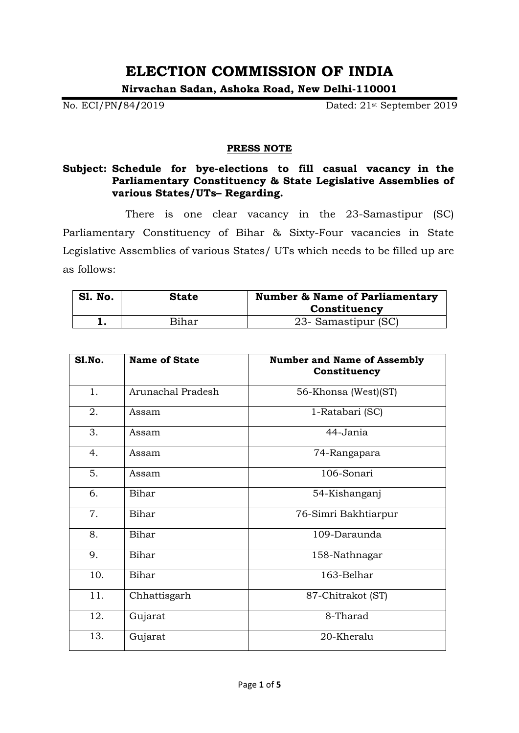# **ELECTION COMMISSION OF INDIA**

**Nirvachan Sadan, Ashoka Road, New Delhi-110001**

No. ECI/PN**/**84**/**2019 Dated: 21st September 2019

#### **PRESS NOTE**

### **Subject: Schedule for bye-elections to fill casual vacancy in the Parliamentary Constituency & State Legislative Assemblies of various States/UTs– Regarding.**

There is one clear vacancy in the 23-Samastipur (SC) Parliamentary Constituency of Bihar & Sixty-Four vacancies in State Legislative Assemblies of various States/ UTs which needs to be filled up are as follows:

| <b>S1. No.</b> | <b>State</b> | <b>Number &amp; Name of Parliamentary</b><br>Constituency |
|----------------|--------------|-----------------------------------------------------------|
|                | Bihar        | 23- Samastipur (SC)                                       |

| Sl.No. | <b>Name of State</b> | <b>Number and Name of Assembly</b><br>Constituency |
|--------|----------------------|----------------------------------------------------|
| 1.     | Arunachal Pradesh    | 56-Khonsa (West)(ST)                               |
| 2.     | Assam                | 1-Ratabari (SC)                                    |
| 3.     | Assam                | 44-Jania                                           |
| 4.     | Assam                | 74-Rangapara                                       |
| 5.     | Assam                | 106-Sonari                                         |
| 6.     | Bihar                | 54-Kishanganj                                      |
| 7.     | Bihar                | 76-Simri Bakhtiarpur                               |
| 8.     | Bihar                | 109-Daraunda                                       |
| 9.     | Bihar                | 158-Nathnagar                                      |
| 10.    | Bihar                | 163-Belhar                                         |
| 11.    | Chhattisgarh         | 87-Chitrakot (ST)                                  |
| 12.    | Gujarat              | 8-Tharad                                           |
| 13.    | Gujarat              | 20-Kheralu                                         |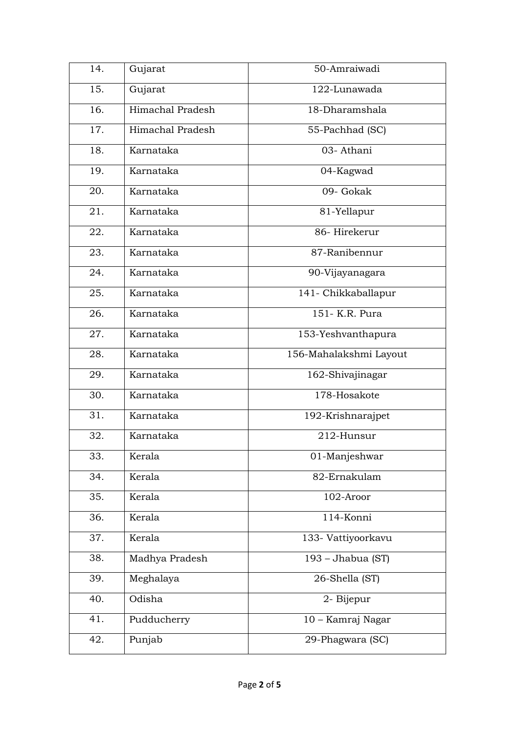| 14. | Gujarat          | 50-Amraiwadi           |
|-----|------------------|------------------------|
| 15. | Gujarat          | 122-Lunawada           |
| 16. | Himachal Pradesh | 18-Dharamshala         |
| 17. | Himachal Pradesh | 55-Pachhad (SC)        |
| 18. | Karnataka        | 03- Athani             |
| 19. | Karnataka        | 04-Kagwad              |
| 20. | Karnataka        | 09- Gokak              |
| 21. | Karnataka        | 81-Yellapur            |
| 22. | Karnataka        | 86-Hirekerur           |
| 23. | Karnataka        | 87-Ranibennur          |
| 24. | Karnataka        | 90-Vijayanagara        |
| 25. | Karnataka        | 141-Chikkaballapur     |
| 26. | Karnataka        | 151- K.R. Pura         |
| 27. | Karnataka        | 153-Yeshvanthapura     |
| 28. | Karnataka        | 156-Mahalakshmi Layout |
| 29. | Karnataka        | 162-Shivajinagar       |
| 30. | Karnataka        | 178-Hosakote           |
| 31. | Karnataka        | 192-Krishnarajpet      |
| 32. | Karnataka        | 212-Hunsur             |
| 33. | Kerala           | 01-Manjeshwar          |
| 34. | Kerala           | 82-Ernakulam           |
| 35. | Kerala           | 102-Aroor              |
| 36. | Kerala           | 114-Konni              |
| 37. | Kerala           | 133- Vattiyoorkavu     |
| 38. | Madhya Pradesh   | 193 - Jhabua (ST)      |
| 39. | Meghalaya        | 26-Shella (ST)         |
| 40. | Odisha           | 2- Bijepur             |
| 41. | Pudducherry      | 10 - Kamraj Nagar      |
| 42. | Punjab           | 29-Phagwara (SC)       |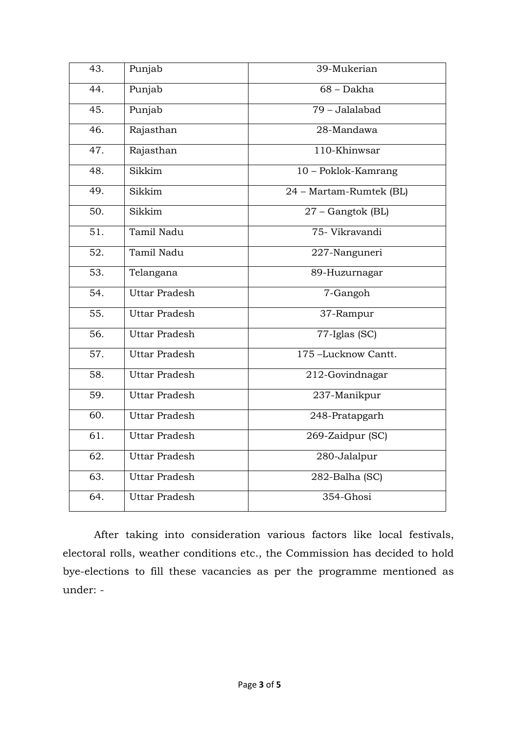| 43.               | Punjab               | 39-Mukerian             |
|-------------------|----------------------|-------------------------|
| 44.               | Punjab               | $68 - Dakha$            |
| 45.               | Punjab               | $79 - Jalalabad$        |
| 46.               | Rajasthan            | 28-Mandawa              |
| 47.               | Rajasthan            | 110-Khinwsar            |
| 48.               | Sikkim               | 10 - Poklok-Kamrang     |
| 49.               | Sikkim               | 24 - Martam-Rumtek (BL) |
| 50.               | Sikkim               | 27 - Gangtok (BL)       |
| $\overline{51}$ . | Tamil Nadu           | 75- Vikravandi          |
| $\overline{52}$ . | Tamil Nadu           | 227-Nanguneri           |
| 53.               | Telangana            | 89-Huzurnagar           |
| 54.               | Uttar Pradesh        | 7-Gangoh                |
| $\overline{55}$ . | <b>Uttar Pradesh</b> | 37-Rampur               |
| 56.               | <b>Uttar Pradesh</b> | $77$ -Iglas (SC)        |
| 57.               | <b>Uttar Pradesh</b> | 175-Lucknow Cantt.      |
| 58.               | <b>Uttar Pradesh</b> | 212-Govindnagar         |
| 59.               | <b>Uttar Pradesh</b> | 237-Manikpur            |
| 60.               | <b>Uttar Pradesh</b> | 248-Pratapgarh          |
| $\overline{61}$ . | <b>Uttar Pradesh</b> | 269-Zaidpur (SC)        |
| $\overline{62}$ . | <b>Uttar Pradesh</b> | 280-Jalalpur            |
| 63.               | <b>Uttar Pradesh</b> | 282-Balha (SC)          |
| $\overline{6}4.$  | <b>Uttar Pradesh</b> | 354-Ghosi               |

After taking into consideration various factors like local festivals, electoral rolls, weather conditions etc., the Commission has decided to hold bye-elections to fill these vacancies as per the programme mentioned as under: -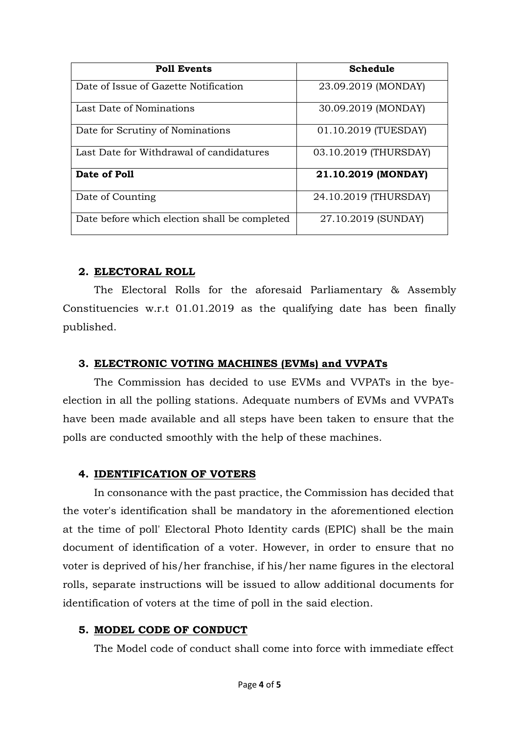| <b>Poll Events</b>                            | Schedule              |
|-----------------------------------------------|-----------------------|
| Date of Issue of Gazette Notification         | 23.09.2019 (MONDAY)   |
| Last Date of Nominations                      | 30.09.2019 (MONDAY)   |
| Date for Scrutiny of Nominations              | 01.10.2019 (TUESDAY)  |
| Last Date for Withdrawal of candidatures      | 03.10.2019 (THURSDAY) |
| Date of Poll                                  | 21.10.2019 (MONDAY)   |
| Date of Counting                              | 24.10.2019 (THURSDAY) |
| Date before which election shall be completed | 27.10.2019 (SUNDAY)   |

# **2. ELECTORAL ROLL**

The Electoral Rolls for the aforesaid Parliamentary & Assembly Constituencies w.r.t 01.01.2019 as the qualifying date has been finally published.

# **3. ELECTRONIC VOTING MACHINES (EVMs) and VVPATs**

The Commission has decided to use EVMs and VVPATs in the byeelection in all the polling stations. Adequate numbers of EVMs and VVPATs have been made available and all steps have been taken to ensure that the polls are conducted smoothly with the help of these machines.

## **4. IDENTIFICATION OF VOTERS**

In consonance with the past practice, the Commission has decided that the voter's identification shall be mandatory in the aforementioned election at the time of poll' Electoral Photo Identity cards (EPIC) shall be the main document of identification of a voter. However, in order to ensure that no voter is deprived of his/her franchise, if his/her name figures in the electoral rolls, separate instructions will be issued to allow additional documents for identification of voters at the time of poll in the said election.

## **5. MODEL CODE OF CONDUCT**

The Model code of conduct shall come into force with immediate effect